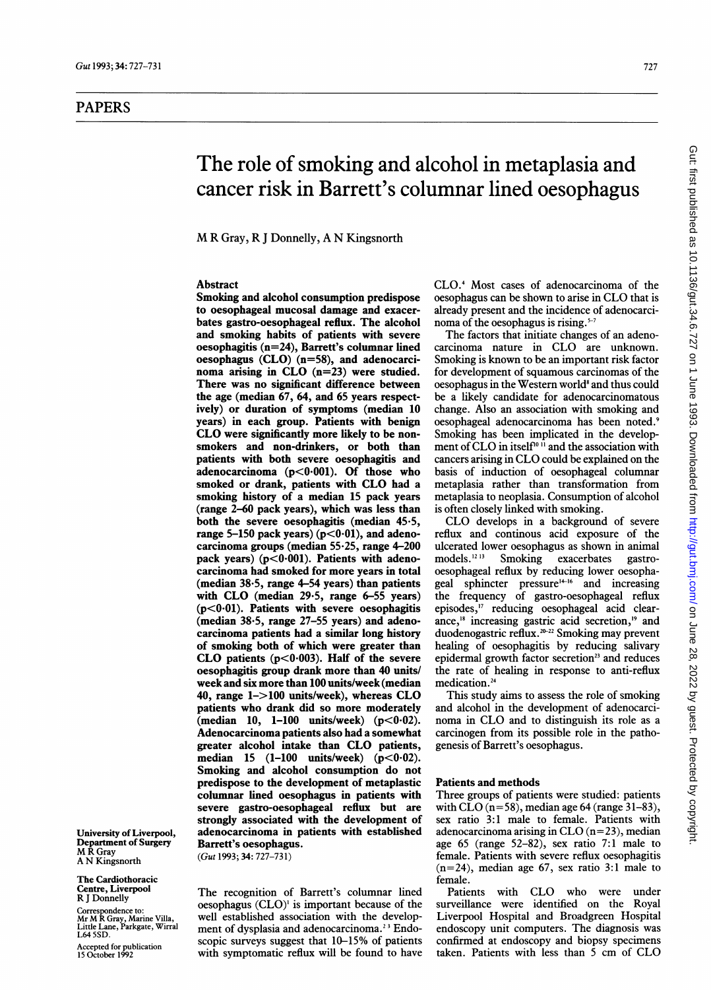# PAPERS

# The role of smoking and alcohol in metaplasia and cancer risk in Barrett's columnar lined oesophagus

M R Gray, R <sup>J</sup> Donnelly, A N Kingsnorth

# Abstract

Smoking and alcohol consumption predispose to oesophageal mucosal damage and exacerbates gastro-oesophageal reflux. The alcohol and smoking habits of patients with severe oesophagitis (n=24), Barrett's columnar lined oesophagus (CLO) (n=58), and adenocarcinoma arising in CLO (n=23) were studied. There was no significant difference between the age (median 67, 64, and 65 years respectively) or duration of symptoms (median 10 years) in each group. Patients with benign CLO were significantly more likely to be nonsmokers and non-drinkers, or both than patients with both severe oesophagitis and adenocarcinoma ( $p < 0.001$ ). Of those who smoked or drank, patients with CLO had <sup>a</sup> smoking history of a median 15 pack years (range 2-60 pack years), which was less than both the severe oesophagitis (median 45-5, range 5-150 pack years)  $(p<0.01)$ , and adenocarcinoma groups (median  $55.25$ , range  $4-200$ pack years)  $(p<0.001)$ . Patients with adenocarcinoma had smoked for more years in total (median 38-5, range 4-54 years) than patients with CLO (median 29-5, range 6-55 years)  $(p<0.01)$ . Patients with severe oesophagitis (median 38-5, range 27-55 years) and adenocarcinoma patients had a similar long history of smoking both of which were greater than CLO patients  $(p<0.003)$ . Half of the severe oesophagitis group drank more than 40 units/ week and six more than 100 units/week (median 40, range 1->100 units/week), whereas CLO patients who drank did so more moderately  $(median 10, 1-100 units/week)$   $(p<0.02)$ . Adenocarcinoma patients also had a somewhat greater alcohol intake than CLO patients, median 15 (1-100 units/week)  $(p<0.02)$ . Smoking and alcohol consumption do not predispose to the development of metaplastic columnar lined oesophagus in patients with severe gastro-oesophageal reflux but are strongly associated with the development of adenocarcinoma in patients with established Barrett's oesophagus.

(Gut 1993; 34: 727-73 1)

The Cardiothoracic Centre, Liverpool R <sup>J</sup> Donnelly

MR Gray A N Kingsnorth

University of Liverpool, Department of Surgery

Correspondence to: Mr M R Gray, Marine Villa, Little Lane, Parkgate, Wirral L645SD.

Accepted for publication 15 October 1992

The recognition of Barrett's columnar lined oesophagus (CLO)' is important because of the well established association with the development of dysplasia and adenocarcinoma.<sup>23</sup> Endoscopic surveys suggest that 10-15% of patients with symptomatic reflux will be found to have

CLO.4 Most cases of adenocarcinoma of the oesophagus can be shown to arise in CLO that is already present and the incidence of adenocarcinoma of the oesophagus is rising.<sup>5-7</sup>

The factors that initiate changes of an adenocarcinoma nature in CLO are unknown. Smoking is known to be an important risk factor for development of squamous carcinomas of the oesophagus in the Western world<sup>8</sup> and thus could be a likely candidate for adenocarcinomatous change. Also an association with smoking and oesophageal adenocarcinoma has been noted.9 Smoking has been implicated in the development of CLO in itself<sup>10  $\overline{1}$ </sup> and the association with cancers arising in CLO could be explained on the basis of induction of oesophageal columnar metaplasia rather than transformation from metaplasia to neoplasia. Consumption of alcohol is often closely linked with smoking.

CLO develops in <sup>a</sup> background of severe reflux and continous acid exposure of the ulcerated lower oesophagus as shown in animal<br>models.<sup>12.13</sup> Smoking exacerbates gastroexacerbates gastrooesophageal reflux by reducing lower oesophageal sphincter pressure<sup>14-16</sup> and increasing the frequency of gastro-oesophageal reflux episodes,'7 reducing oesophageal acid clearance," increasing gastric acid secretion,'9 and duodenogastric reflux.<sup>20-22</sup> Smoking may prevent healing of oesophagitis by reducing salivary epidermal growth factor secretion<sup>23</sup> and reduces the rate of healing in response to anti-reflux medication.<sup>24</sup>

This study aims to assess the role of smoking and alcohol in the development of adenocarcinoma in CLO and to distinguish its role as <sup>a</sup> carcinogen from its possible role in the pathogenesis of Barrett's oesophagus.

## Patients and methods

Three groups of patients were studied: patients with  $CLO$  ( $n=58$ ), median age 64 (range 31-83), sex ratio 3:1 male to female. Patients with adenocarcinoma arising in CLO  $(n=23)$ , median age 65 (range 52-82), sex ratio 7:1 male to female. Patients with severe reflux oesophagitis  $(n=24)$ , median age 67, sex ratio 3:1 male to female.

Patients with CLO who were under surveillance were identified on the Royal Liverpool Hospital and Broadgreen Hospital endoscopy unit computers. The diagnosis was confirmed at endoscopy and biopsy specimens taken. Patients with less than <sup>5</sup> cm of CLO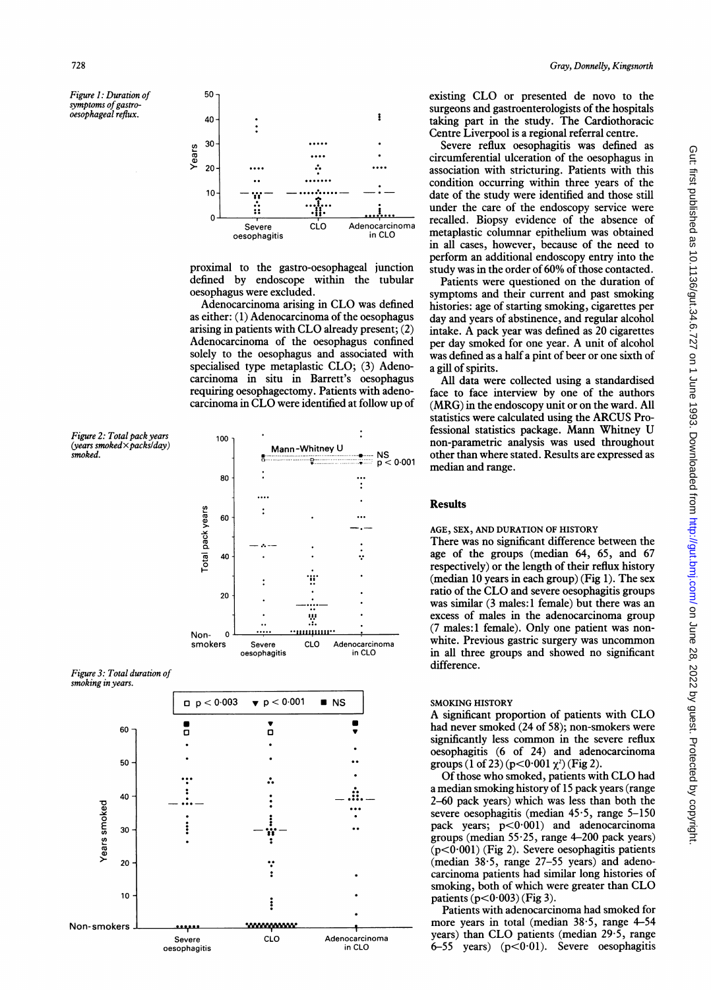Figure 1: Duration of symptoms of gastrooesophageal reflux.



proximal to the gastro-oesophageal junction defined by endoscope within the tubular oesophagus were excluded.

Adenocarcinoma arising in CLO was defined as either: (1) Adenocarcinoma of the oesophagus arising in patients with CLO already present; (2) Adenocarcinoma of the oesophagus confined solely to the oesophagus and associated with specialised type metaplastic CLO; (3) Adenocarcinoma in situ in Barrett's oesophagus requiring oesophagectomy. Patients with adenocarcinoma in CLO were identified at follow up of

Figure 2: Total pack years (years smoked  $\times$  packs/day) smoked.



Figure 3: Total duration of smoking in years.



existing CLO or presented de novo to the surgeons and gastroenterologists of the hospitals taking part in the study. The Cardiothoracic Centre Liverpool is a regional referral centre.

Severe reflux oesophagitis was defined as circumferential ulceration of the oesophagus in association with stricturing. Patients with this condition occurring within three years of the date of the study were identified and those still under the care of the endoscopy service were recalled. Biopsy evidence of the absence of metaplastic columnar epithelium was obtained in all cases, however, because of the need to perform an additional endoscopy entry into the study was in the order of 60% of those contacted.

Patients were questioned on the duration of symptoms and their current and past smoking histories: age of starting smoking, cigarettes per day and years of abstinence, and regular alcohol intake. A pack year was defined as 20 cigarettes per day smoked for one year. A unit of alcohol was defined as a half a pint of beer or one sixth of a gill of spirits.

All data were collected using a standardised face to face interview by one of the authors (MRG) in the endoscopy unit or on the ward. All statistics were calculated using the ARCUS Professional statistics package. Mann Whitney U non-parametric analysis was used throughout other than where stated. Results are expressed as median and range.

# **Results**

# AGE, SEX, AND DURATION OF HISTORY

There was no significant difference between the age of the groups (median 64, 65, and 67 respectively) or the length of their reflux history (median 10 years in each group) (Fig 1). The sex ratio of the CLO and severe oesophagitis groups was similar (3 males:1 female) but there was an excess of males in the adenocarcinoma group (7 males:1 female). Only one patient was nonwhite. Previous gastric surgery was uncommon in all three groups and showed no significant difference.

#### **SMOKING HISTORY**

A significant proportion of patients with CLO had never smoked (24 of 58); non-smokers were significantly less common in the severe reflux oesophagitis (6 of 24) and adenocarcinoma groups (1 of 23) ( $p < 0.001 \chi^2$ ) (Fig 2).

Of those who smoked, patients with CLO had a median smoking history of 15 pack years (range 2-60 pack years) which was less than both the severe oesophagitis (median  $45.5$ , range  $5-150$ pack years; p<0.001) and adenocarcinoma groups (median  $55.25$ , range 4-200 pack years)  $(p<0.001)$  (Fig 2). Severe oesophagitis patients (median 38.5, range 27-55 years) and adenocarcinoma patients had similar long histories of smoking, both of which were greater than CLO patients  $(p<0.003)$  (Fig 3).

Patients with adenocarcinoma had smoked for more years in total (median  $38.5$ , range 4-54 years) than CLO patients (median 29.5, range 6-55 years)  $(p<0.01)$ . Severe oesophagitis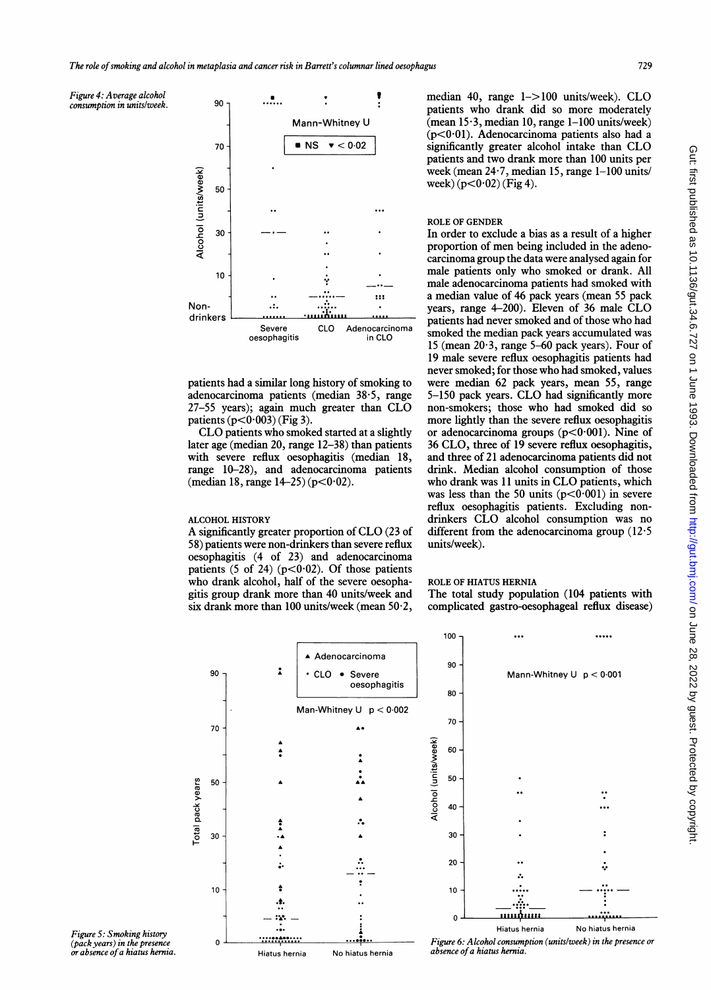Figure 4: Average alcohol consumption in unitslweek.



patients had a similar long history of smoking to adenocarcinoma patients (median 38.5, range 27-55 years); again much greater than CLO patients  $(p<0.003)$  (Fig 3).

CLO patients who smoked started at a slightly later age (median 20, range 12-38) than patients with severe reflux oesophagitis (median 18, range 10-28), and adenocarcinoma (median 18, range  $14-25$ ) ( $p < 0.02$ ).

# ALCOHOL HISTORY

A significantly greater proportion of CLO (23 of 58) patients were non-drinkers than severe reflux  $oesophagitis$  (4 of 23) and adenocarcinoma patients  $(5 \text{ of } 24)$   $(p<0.02)$ . Of those patients who drank alcohol, half of the severe oesophagitis group drank more than 40 units/week and six drank more than 100 units/week (mean  $50.2$ ,

median 40, range 1-> <sup>100</sup> units/week). CLO patients who drank did so more moderately  $($ mean 15 $\cdot$ 3, median 10, range 1-100 units/week) (p<0 01). Adenocarcinoma patients also had a significantly greater alcohol intake than CLO patients and two drank more than 100 units per week (mean 24-7, median 15, range 1-100 units/ week)  $(p<0.02)$  (Fig 4).

### ROLE OF GENDER

In order to exclude a bias as a result of a higher proportion of men being included in the adenocarcinoma group the data were analysed again for male patients only who smoked or drank. All male adenocarcinoma patients had smoked with ::: a median value of 46 pack years (mean 55 pack years, range 4-200). Eleven of 36 male CLO<br>patients had never smoked and of those who had smoked the median pack years accumulated was 15 (mean 20-3, range 5-60 pack years). Four of 19 male severe reflux oesophagitis patients had never smoked; for those who had smoked, values were median 62 pack years, mean 55, range 5-150 pack years. CLO had significantly more non-smokers; those who had smoked did so more lightly than the severe reflux oesophagitis or adenocarcinoma groups ( $p < 0.001$ ). Nine of 36 CLO, three of 19 severe reflux oesophagitis, and three of 21 adenocarcinoma patients did not drink. Median alcohol consumption of those who drank was <sup>11</sup> units in CLO patients, which was less than the 50 units  $(p<0.001)$  in severe reflux oesophagitis patients. Excluding nondrinkers CLO alcohol consumption was no different from the adenocarcinoma group  $(12.5$ units/week).

# ROLE OF HIATUS HERNIA

100

90 -

80

The total study population (104 patients with complicated gastro-oesophageal reflux disease)



Figure 5: Smoking history (pack years) in the presence or absence of a hiatus hernia.

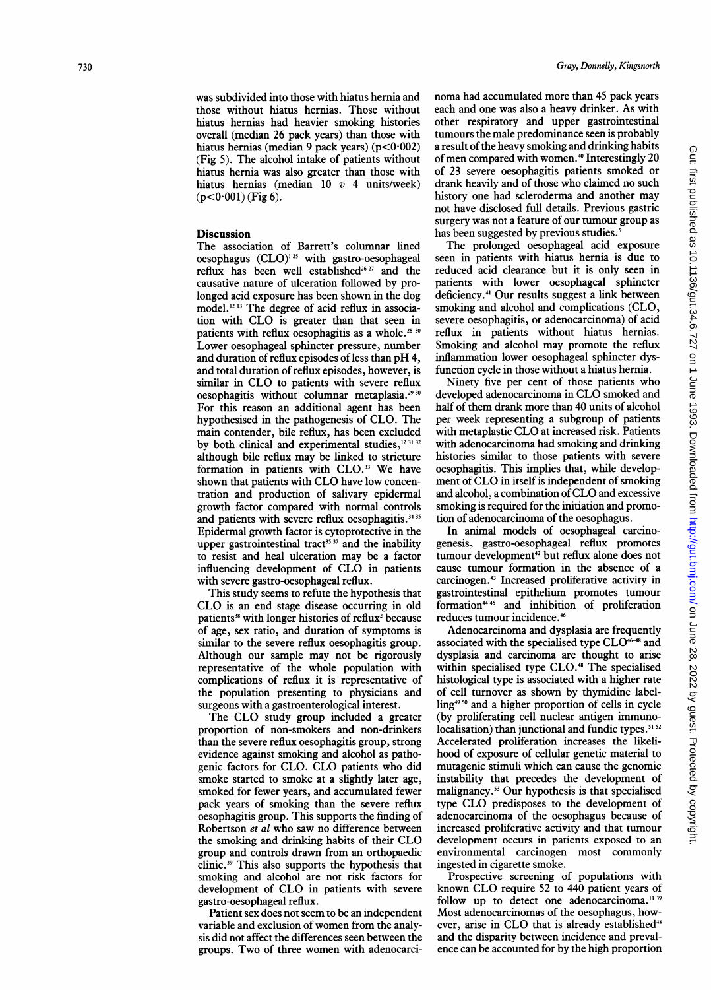was subdivided into those with hiatus hernia and those without hiatus hernias. Those without hiatus hernias had heavier smoking histories overall (median 26 pack years) than those with hiatus hernias (median 9 pack years) (p<0·002) (Fig 5). The alcohol intake of patients without hiatus hernia was also greater than those with hiatus hernias (median  $10$  v 4 units/week)  $(p<0.001)$  (Fig 6).

#### **Discussion**

The association of Barrett's columnar lined oesophagus  $(CLO)^{125}$  with gastro-oesophageal reflux has been well established<sup>26 27</sup> and the causative nature of ulceration followed by prolonged acid exposure has been shown in the dog model.'2 3 The degree of acid reflux in association with CLO is greater than that seen in patients with reflux oesophagitis as a whole.<sup>28-30</sup> Lower oesophageal sphincter pressure, number and duration of reflux episodes of less than pH 4, and total duration of reflux episodes, however, is similar in CLO to patients with severe reflux oesophagitis without columnar metaplasia.<sup>29 30</sup> For this reason an additional agent has been hypothesised in the pathogenesis of CLO. The main contender, bile reflux, has been excluded by both clinical and experimental studies,<sup>12 31 32</sup> although bile reflux may be linked to stricture formation in patients with CLO.<sup>33</sup> We have shown that patients with CLO have low concentration and production of salivary epidermal growth factor compared with normal controls and patients with severe reflux oesophagitis.<sup>34 35</sup> Epidermal growth factor is cytoprotective in the upper gastrointestinal tract<sup>35 37</sup> and the inability to resist and heal ulceration may be a factor influencing development of CLO in patients with severe gastro-oesophageal reflux.

This study seems to refute the hypothesis that CLO is an end stage disease occurring in old patients<sup>38</sup> with longer histories of reflux<sup>2</sup> because of age, sex ratio, and duration of symptoms is similar to the severe reflux oesophagitis group. Although our sample may not be rigorously representative of the whole population with complications of reflux it is representative of the population presenting to physicians and surgeons with a gastroenterological interest.

The CLO study group included a greater proportion of non-smokers and non-drinkers than the severe reflux oesophagitis group, strong evidence against smoking and alcohol as pathogenic factors for CLO. CLO patients who did smoke started to smoke at a slightly later age, smoked for fewer years, and accumulated fewer pack years of smoking than the severe reflux oesophagitis group. This supports the finding of Robertson et al who saw no difference between the smoking and drinking habits of their CLO group and controls drawn from an orthopaedic clinic.39 This also supports the hypothesis that smoking and alcohol are not risk factors for development of CLO in patients with severe gastro-oesophageal reflux.

Patient sex does not seem to be an independent variable and exclusion of women from the analysis did not affect the differences seen between the groups. Two of three women with adenocarcinoma had accumulated more than 45 pack years each and one was also a heavy drinker. As with other respiratory and upper gastrointestinal tumours the male predominance seen is probably a result of the heavy smoking and drinking habits of men compared with women.<sup>40</sup> Interestingly 20 of 23 severe oesophagitis patients smoked or drank heavily and of those who claimed no such history one had scleroderma and another may not have disclosed full details. Previous gastric surgery was not a feature of our tumour group as has been suggested by previous studies.<sup>5</sup>

The prolonged oesophageal acid exposure seen in patients with hiatus hernia is due to reduced acid clearance but it is only seen in patients with lower oesophageal sphincter deficiency.4' Our results suggest a link between smoking and alcohol and complications (CLO, severe oesophagitis, or adenocarcinoma) of acid reflux in patients without hiatus hernias. Smoking and alcohol may promote the reflux inflammation lower oesophageal sphincter dysfunction cycle in those without a hiatus hernia.

Ninety five per cent of those patients who developed adenocarcinoma in CLO smoked and half of them drank more than 40 units of alcohol per week representing a subgroup of patients with metaplastic CLO at increased risk. Patients with adenocarcinoma had smoking and drinking histories similar to those patients with severe oesophagitis. This implies that, while development of CLO in itself is independent of smoking and alcohol, <sup>a</sup> combination of CLO and excessive smoking is required for the initiation and promotion of adenocarcinoma of the oesophagus.

In animal models of oesophageal carcinogenesis, gastro-oesophageal reflux promotes tumour development<sup>42</sup> but reflux alone does not cause tumour formation in the absence of a carcinogen.43 Increased proliferative activity in gastrointestinal epithelium promotes tumour formation"4<sup>45</sup> and inhibition of proliferation reduces tumour incidence.'

Adenocarcinoma and dysplasia are frequently associated with the specialised type CLO<sup>46-48</sup> and dysplasia and carcinoma are thought to arise within specialised type CLO.<sup>48</sup> The specialised histological type is associated with a higher rate of cell turnover as shown by thymidine labelling<sup>4950</sup> and a higher proportion of cells in cycle (by proliferating cell nuclear antigen immunolocalisation) than junctional and fundic types.<sup>51 52</sup> Accelerated proliferation increases the likelihood of exposure of cellular genetic material to mutagenic stimuli which can cause the genomic instability that precedes the development of malignancy.53 Our hypothesis is that specialised type CLO predisposes to the development of adenocarcinoma of the oesophagus because of increased proliferative activity and that tumour development occurs in patients exposed to an environmental carcinogen most commonly ingested in cigarette smoke.

Prospective screening of populations with known CLO require <sup>52</sup> to <sup>440</sup> patient years of follow up to detect one adenocarcinoma.<sup>11 39</sup> Most adenocarcinomas of the oesophagus, however, arise in CLO that is already established<sup>48</sup> and the disparity between incidence and prevalence can be accounted for by the high proportion